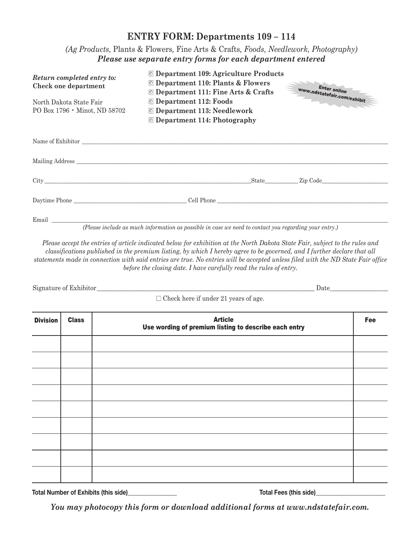## **ENTRY FORM: Departments 109 – 114**

*(Ag Products,* Plants & Flowers*,* Fine Arts & Crafts*, Foods, Needlework, Photography) Please use separate entry forms for each department entered*

| Return completed entry to:<br>Check one department<br>North Dakota State Fair<br>PO Box 1796 • Minot, ND 58702 | □ Department 109: Agriculture Products<br>◎ Department 110: Plants & Flowers<br><b>O</b> Department 111: Fine Arts & Crafts<br><b>O</b> Department 112: Foods<br><b>O</b> Department 113: Needlework<br><b>O</b> Department 114: Photography                                            | <b>Enter online</b><br>www.ndstatefair.com/exhibit               |
|----------------------------------------------------------------------------------------------------------------|-----------------------------------------------------------------------------------------------------------------------------------------------------------------------------------------------------------------------------------------------------------------------------------------|------------------------------------------------------------------|
|                                                                                                                |                                                                                                                                                                                                                                                                                         |                                                                  |
| Mailing Address                                                                                                |                                                                                                                                                                                                                                                                                         |                                                                  |
|                                                                                                                |                                                                                                                                                                                                                                                                                         | State Zip Code                                                   |
|                                                                                                                | Daytime Phone Cell Phone Cell Phone Cell Phone Cell Phone Cell Phone Cell Phone Cell Phone Cell Phone Cell Phone Cell Phone Cell Phone Cell Phone Cell Phone Cell Phone Cell Phone Cell Phone Cell Phone Cell Phone Cell Phone                                                          |                                                                  |
|                                                                                                                |                                                                                                                                                                                                                                                                                         |                                                                  |
| Email                                                                                                          | $\sqrt{2}$ and $\sqrt{2}$ and $\sqrt{2}$ and $\sqrt{2}$ and $\sqrt{2}$ and $\sqrt{2}$ and $\sqrt{2}$ and $\sqrt{2}$ and $\sqrt{2}$ and $\sqrt{2}$ and $\sqrt{2}$ and $\sqrt{2}$ and $\sqrt{2}$ and $\sqrt{2}$ and $\sqrt{2}$ and $\sqrt{2}$ and $\sqrt{2}$ and $\sqrt{2}$ and $\sqrt{2$ | 그 아이들은 그 사람들은 아이들을 하고 있다. 그 사람들은 아이들은 아이들의 사람들은 아이들의 사람들을 하고 있다. |

*(Please include as much information as possible in case we need to contact you regarding your entry.)*

*Please accept the entries of article indicated below for exhibition at the North Dakota State Fair, subject to the rules and classifications published in the premium listing, by which I hereby agree to be governed, and I further declare that all statements made in connection with said entries are true. No entries will be accepted unless filed with the ND State Fair office before the closing date. I have carefully read the rules of entry.*

Signature of Exhibitor\_\_\_\_\_\_\_\_\_\_\_\_\_\_\_\_\_\_\_\_\_\_\_\_\_\_\_\_\_\_\_\_\_\_\_\_\_\_\_\_\_\_\_\_\_\_\_\_\_\_\_\_\_\_\_\_\_\_\_\_\_\_\_\_\_\_\_\_\_\_\_ Date\_\_\_\_\_\_\_\_\_\_\_\_\_\_\_\_\_\_\_

 $\Box$  Check here if under 21 years of age.

| <b>Division</b> | <b>Class</b> | <b>Article</b><br>Use wording of premium listing to describe each entry | Fee |
|-----------------|--------------|-------------------------------------------------------------------------|-----|
|                 |              |                                                                         |     |
|                 |              |                                                                         |     |
|                 |              |                                                                         |     |
|                 |              |                                                                         |     |
|                 |              |                                                                         |     |
|                 |              |                                                                         |     |
|                 |              |                                                                         |     |
|                 |              |                                                                         |     |
|                 |              |                                                                         |     |

**Total Number of Exhibits (this side)\_\_\_\_\_\_\_\_\_\_\_\_\_\_\_\_\_ Total Fees (this side)\_\_\_\_\_\_\_\_\_\_\_\_\_\_\_\_\_\_\_\_\_\_\_\_**

*You may photocopy this form or download additional forms at www.ndstatefair.com.*